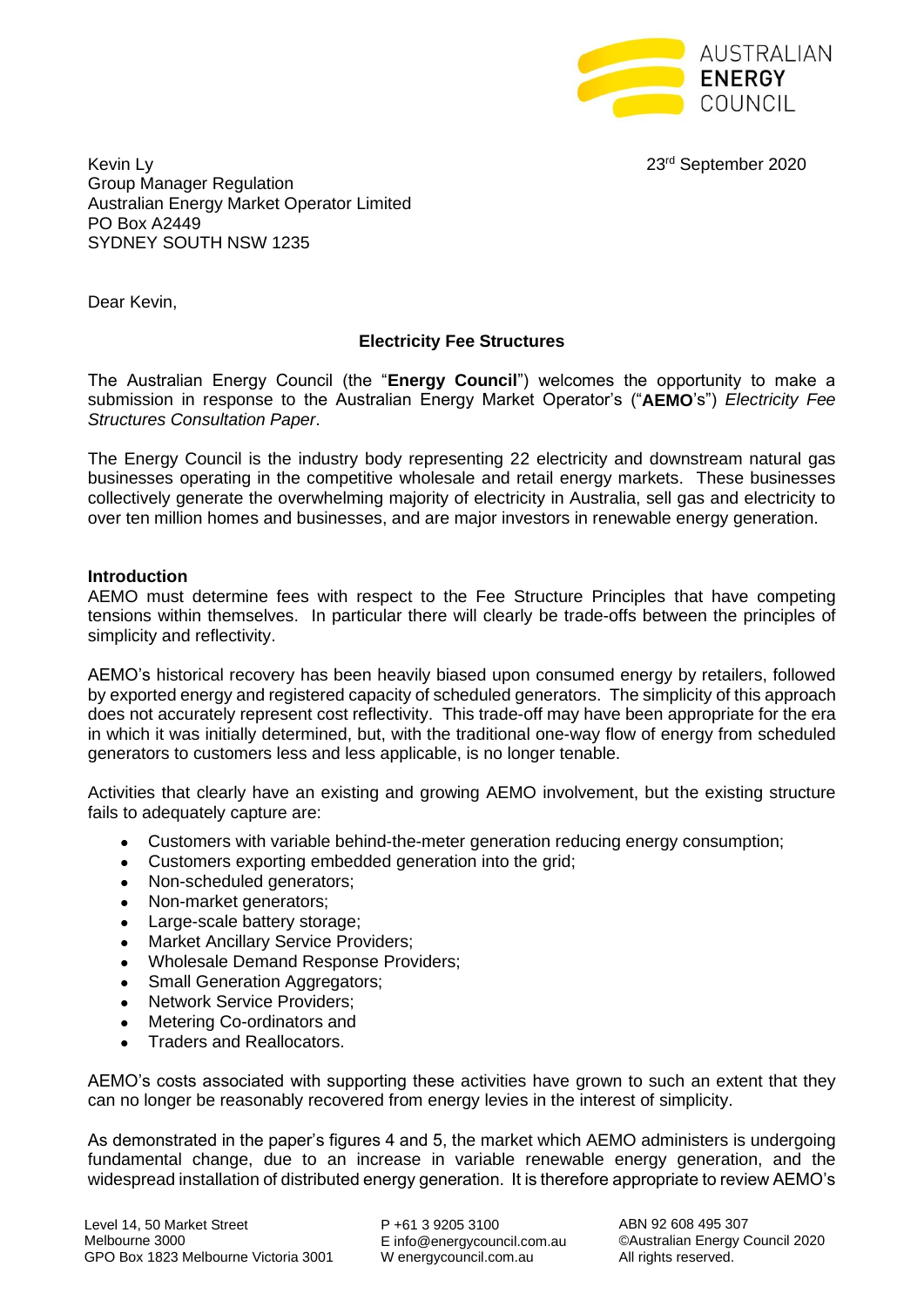

Kevin Lv 23<sup>rd</sup> September 2020 Group Manager Regulation Australian Energy Market Operator Limited PO Box A2449 SYDNEY SOUTH NSW 1235

Dear Kevin,

### **Electricity Fee Structures**

The Australian Energy Council (the "**Energy Council**") welcomes the opportunity to make a submission in response to the Australian Energy Market Operator's ("**AEMO**'s") *Electricity Fee Structures Consultation Paper*.

The Energy Council is the industry body representing 22 electricity and downstream natural gas businesses operating in the competitive wholesale and retail energy markets. These businesses collectively generate the overwhelming majority of electricity in Australia, sell gas and electricity to over ten million homes and businesses, and are major investors in renewable energy generation.

#### **Introduction**

AEMO must determine fees with respect to the Fee Structure Principles that have competing tensions within themselves. In particular there will clearly be trade-offs between the principles of simplicity and reflectivity.

AEMO's historical recovery has been heavily biased upon consumed energy by retailers, followed by exported energy and registered capacity of scheduled generators. The simplicity of this approach does not accurately represent cost reflectivity. This trade-off may have been appropriate for the era in which it was initially determined, but, with the traditional one-way flow of energy from scheduled generators to customers less and less applicable, is no longer tenable.

Activities that clearly have an existing and growing AEMO involvement, but the existing structure fails to adequately capture are:

- Customers with variable behind-the-meter generation reducing energy consumption;
- Customers exporting embedded generation into the grid:
- Non-scheduled generators;
- Non-market generators;
- Large-scale battery storage;
- **Market Ancillary Service Providers;**
- Wholesale Demand Response Providers;
- Small Generation Aggregators;
- **Network Service Providers:**
- Metering Co-ordinators and
- Traders and Reallocators.

AEMO's costs associated with supporting these activities have grown to such an extent that they can no longer be reasonably recovered from energy levies in the interest of simplicity.

As demonstrated in the paper's figures 4 and 5, the market which AEMO administers is undergoing fundamental change, due to an increase in variable renewable energy generation, and the widespread installation of distributed energy generation. It is therefore appropriate to review AEMO's

P +61 3 9205 3100 E info@energycouncil.com.au W energycouncil.com.au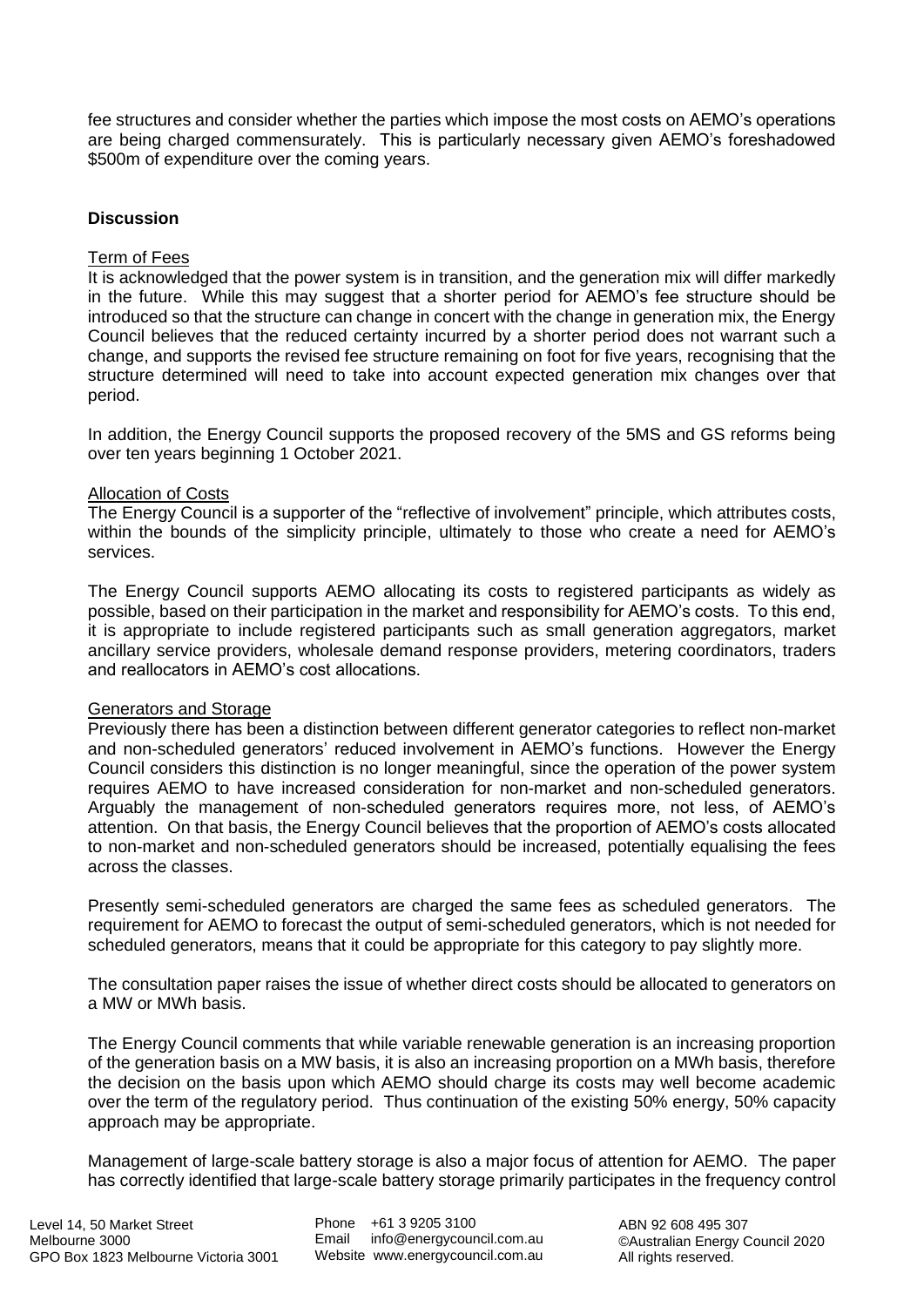fee structures and consider whether the parties which impose the most costs on AEMO's operations are being charged commensurately. This is particularly necessary given AEMO's foreshadowed \$500m of expenditure over the coming years.

## **Discussion**

#### Term of Fees

It is acknowledged that the power system is in transition, and the generation mix will differ markedly in the future. While this may suggest that a shorter period for AEMO's fee structure should be introduced so that the structure can change in concert with the change in generation mix, the Energy Council believes that the reduced certainty incurred by a shorter period does not warrant such a change, and supports the revised fee structure remaining on foot for five years, recognising that the structure determined will need to take into account expected generation mix changes over that period.

In addition, the Energy Council supports the proposed recovery of the 5MS and GS reforms being over ten years beginning 1 October 2021.

#### Allocation of Costs

The Energy Council is a supporter of the "reflective of involvement" principle, which attributes costs, within the bounds of the simplicity principle, ultimately to those who create a need for AEMO's services.

The Energy Council supports AEMO allocating its costs to registered participants as widely as possible, based on their participation in the market and responsibility for AEMO's costs. To this end, it is appropriate to include registered participants such as small generation aggregators, market ancillary service providers, wholesale demand response providers, metering coordinators, traders and reallocators in AEMO's cost allocations.

### Generators and Storage

Previously there has been a distinction between different generator categories to reflect non-market and non-scheduled generators' reduced involvement in AEMO's functions. However the Energy Council considers this distinction is no longer meaningful, since the operation of the power system requires AEMO to have increased consideration for non-market and non-scheduled generators. Arguably the management of non-scheduled generators requires more, not less, of AEMO's attention. On that basis, the Energy Council believes that the proportion of AEMO's costs allocated to non-market and non-scheduled generators should be increased, potentially equalising the fees across the classes.

Presently semi-scheduled generators are charged the same fees as scheduled generators. The requirement for AEMO to forecast the output of semi-scheduled generators, which is not needed for scheduled generators, means that it could be appropriate for this category to pay slightly more.

The consultation paper raises the issue of whether direct costs should be allocated to generators on a MW or MWh basis.

The Energy Council comments that while variable renewable generation is an increasing proportion of the generation basis on a MW basis, it is also an increasing proportion on a MWh basis, therefore the decision on the basis upon which AEMO should charge its costs may well become academic over the term of the regulatory period. Thus continuation of the existing 50% energy, 50% capacity approach may be appropriate.

Management of large-scale battery storage is also a major focus of attention for AEMO. The paper has correctly identified that large-scale battery storage primarily participates in the frequency control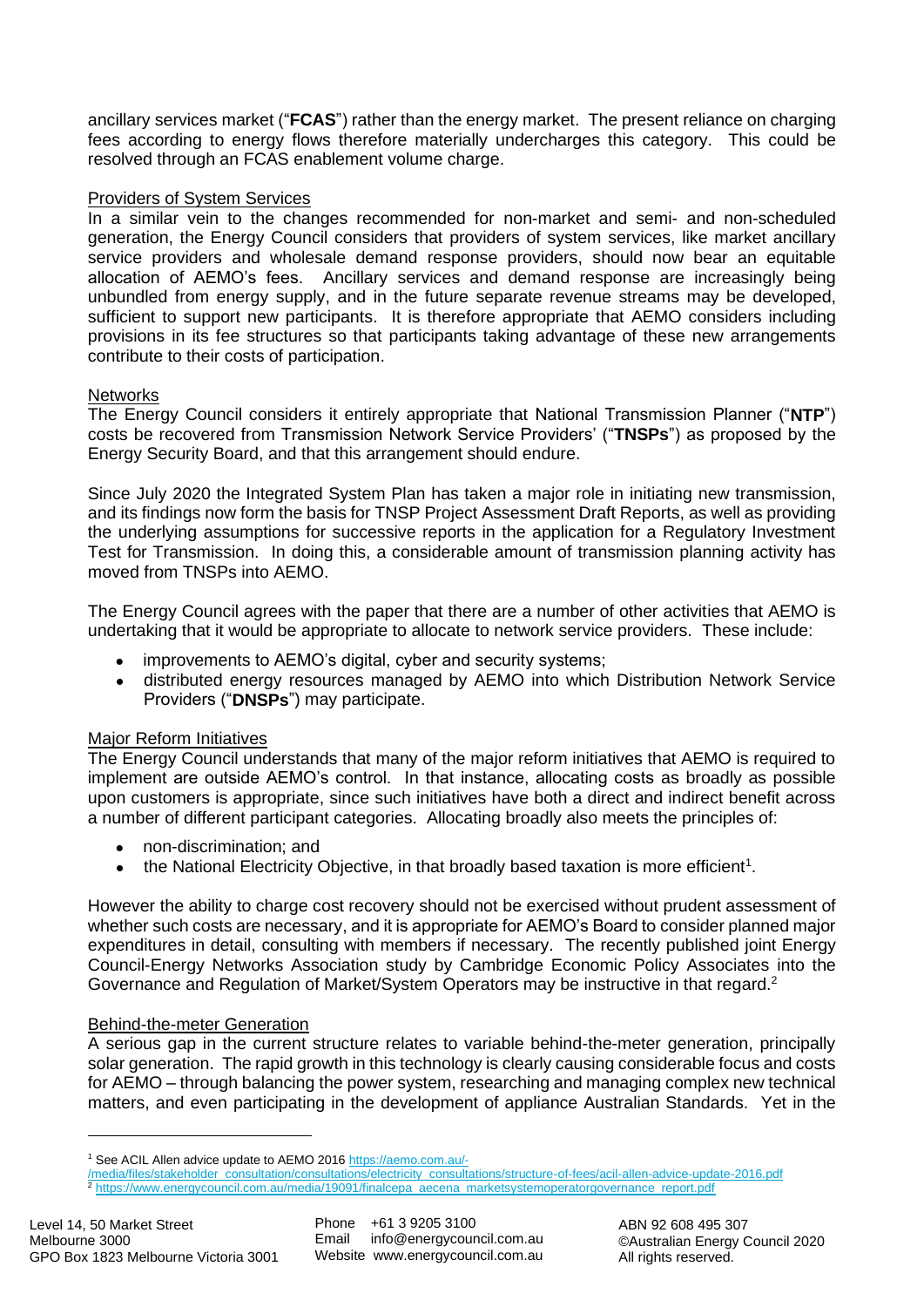ancillary services market ("**FCAS**") rather than the energy market. The present reliance on charging fees according to energy flows therefore materially undercharges this category. This could be resolved through an FCAS enablement volume charge.

## Providers of System Services

In a similar vein to the changes recommended for non-market and semi- and non-scheduled generation, the Energy Council considers that providers of system services, like market ancillary service providers and wholesale demand response providers, should now bear an equitable allocation of AEMO's fees. Ancillary services and demand response are increasingly being unbundled from energy supply, and in the future separate revenue streams may be developed, sufficient to support new participants. It is therefore appropriate that AEMO considers including provisions in its fee structures so that participants taking advantage of these new arrangements contribute to their costs of participation.

## Networks

The Energy Council considers it entirely appropriate that National Transmission Planner ("**NTP**") costs be recovered from Transmission Network Service Providers' ("**TNSPs**") as proposed by the Energy Security Board, and that this arrangement should endure.

Since July 2020 the Integrated System Plan has taken a major role in initiating new transmission, and its findings now form the basis for TNSP Project Assessment Draft Reports, as well as providing the underlying assumptions for successive reports in the application for a Regulatory Investment Test for Transmission. In doing this, a considerable amount of transmission planning activity has moved from TNSPs into AEMO.

The Energy Council agrees with the paper that there are a number of other activities that AEMO is undertaking that it would be appropriate to allocate to network service providers. These include:

- improvements to AEMO's digital, cyber and security systems;
- distributed energy resources managed by AEMO into which Distribution Network Service Providers ("**DNSPs**") may participate.

# Major Reform Initiatives

The Energy Council understands that many of the major reform initiatives that AEMO is required to implement are outside AEMO's control. In that instance, allocating costs as broadly as possible upon customers is appropriate, since such initiatives have both a direct and indirect benefit across a number of different participant categories. Allocating broadly also meets the principles of:

- non-discrimination; and
- $\bullet$  the National Electricity Objective, in that broadly based taxation is more efficient<sup>1</sup>.

However the ability to charge cost recovery should not be exercised without prudent assessment of whether such costs are necessary, and it is appropriate for AEMO's Board to consider planned major expenditures in detail, consulting with members if necessary. The recently published joint Energy Council-Energy Networks Association study by Cambridge Economic Policy Associates into the Governance and Regulation of Market/System Operators may be instructive in that regard.<sup>2</sup>

### Behind-the-meter Generation

A serious gap in the current structure relates to variable behind-the-meter generation, principally solar generation. The rapid growth in this technology is clearly causing considerable focus and costs for AEMO – through balancing the power system, researching and managing complex new technical matters, and even participating in the development of appliance Australian Standards. Yet in the

<sup>1</sup> See ACIL Allen advice update to AEMO 2016 [https://aemo.com.au/-](https://aemo.com.au/-/media/files/stakeholder_consultation/consultations/electricity_consultations/structure-of-fees/acil-allen-advice-update-2016.pdf)

[<sup>/</sup>media/files/stakeholder\\_consultation/consultations/electricity\\_consultations/structure-of-fees/acil-allen-advice-update-2016.pdf](https://aemo.com.au/-/media/files/stakeholder_consultation/consultations/electricity_consultations/structure-of-fees/acil-allen-advice-update-2016.pdf) [https://www.energycouncil.com.au/media/19091/finalcepa\\_aecena\\_marketsystemoperatorgovernance\\_report.pdf](https://www.energycouncil.com.au/media/19091/finalcepa_aecena_marketsystemoperatorgovernance_report.pdf)